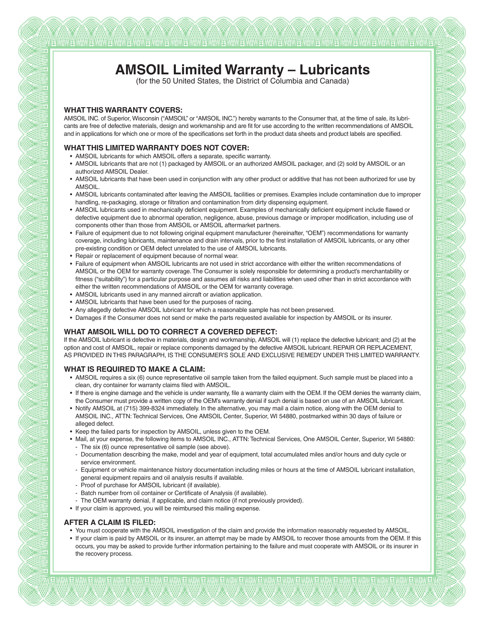# **AMSOIL Limited Warranty – Lubricants**

(for the 50 United States, the District of Columbia and Canada)

## **WHAT THIS WARRANTY COVERS:**

 $\alpha$ 

 $\alpha$ 

an)

 $\overline{100}$ 

 $\overline{111}$ 

 $\widehat{W}$ 

 $\mathbf{W}$ 

 $\mathbf{W}$ 

m

aX)

 $\widehat{M}$ 

 $\alpha$ 

 $\overline{114}$ 

 $\alpha$ 

Œ

A.

ott.

 $\alpha$ 

 $\overline{M}$ 

 $\mathbf{W}$ 

 $\overline{u}$ 

 $\mathbf{W}$ 

 $\mathbf{100}$ 

 $\alpha$ 

 $\mathbf{u}$ 

 $\overline{\alpha}$ 

 $\mathbf{W}$ 

AMSOIL INC. of Superior, Wisconsin ("AMSOIL" or "AMSOIL INC.") hereby warrants to the Consumer that, at the time of sale, its lubricants are free of defective materials, design and workmanship and are fit for use according to the written recommendations of AMSOIL and in applications for which one or more of the specifications set forth in the product data sheets and product labels are specified.

## **WHAT THIS LIMITED WARRANTY DOES NOT COVER:**

- AMSOIL lubricants for which AMSOIL offers a separate, specific warranty.
- AMSOIL lubricants that are not (1) packaged by AMSOIL or an authorized AMSOIL packager, and (2) sold by AMSOIL or an authorized AMSOIL Dealer.
- AMSOIL lubricants that have been used in conjunction with any other product or additive that has not been authorized for use by AMSOIL.
- AMSOIL lubricants contaminated after leaving the AMSOIL facilities or premises. Examples include contamination due to improper handling, re-packaging, storage or filtration and contamination from dirty dispensing equipment.
- AMSOIL lubricants used in mechanically deficient equipment. Examples of mechanically deficient equipment include flawed or defective equipment due to abnormal operation, negligence, abuse, previous damage or improper modification, including use of components other than those from AMSOIL or AMSOIL aftermarket partners.
- Failure of equipment due to not following original equipment manufacturer (hereinafter, "OEM") recommendations for warranty coverage, including lubricants, maintenance and drain intervals, prior to the first installation of AMSOIL lubricants, or any other pre-existing condition or OEM defect unrelated to the use of AMSOIL lubricants.
- Repair or replacement of equipment because of normal wear.
- Failure of equipment when AMSOIL lubricants are not used in strict accordance with either the written recommendations of AMSOIL or the OEM for warranty coverage. The Consumer is solely responsible for determining a product's merchantability or fitness ("suitability") for a particular purpose and assumes all risks and liabilities when used other than in strict accordance with either the written recommendations of AMSOIL or the OEM for warranty coverage.
- AMSOIL lubricants used in any manned aircraft or aviation application.
- AMSOIL lubricants that have been used for the purposes of racing.
- Any allegedly defective AMSOIL lubricant for which a reasonable sample has not been preserved.
- Damages if the Consumer does not send or make the parts requested available for inspection by AMSOIL or its insurer.

# **WHAT AMSOIL WILL DO TO CORRECT A COVERED DEFECT:**

If the AMSOIL lubricant is defective in materials, design and workmanship, AMSOIL will (1) replace the defective lubricant; and (2) at the option and cost of AMSOIL, repair or replace components damaged by the defective AMSOIL lubricant. REPAIR OR REPLACEMENT, AS PROVIDED IN THIS PARAGRAPH, IS THE CONSUMER'S SOLE AND EXCLUSIVE REMEDY UNDER THIS LIMITED WARRANTY.

#### **WHAT IS REQUIRED TO MAKE A CLAIM:**

- AMSOIL requires a six (6) ounce representative oil sample taken from the failed equipment. Such sample must be placed into a clean, dry container for warranty claims filed with AMSOIL.
- If there is engine damage and the vehicle is under warranty, file a warranty claim with the OEM. If the OEM denies the warranty claim, the Consumer must provide a written copy of the OEM's warranty denial if such denial is based on use of an AMSOIL lubricant.
- Notify AMSOIL at (715) 399-8324 immediately. In the alternative, you may mail a claim notice, along with the OEM denial to AMSOIL INC., ATTN: Technical Services, One AMSOIL Center, Superior, WI 54880, postmarked within 30 days of failure or alleged defect.
- Keep the failed parts for inspection by AMSOIL, unless given to the OEM.
- Mail, at your expense, the following items to AMSOIL INC., ATTN: Technical Services, One AMSOIL Center, Superior, WI 54880: - The six (6) ounce representative oil sample (see above).
- Documentation describing the make, model and year of equipment, total accumulated miles and/or hours and duty cycle or service environment.
- Equipment or vehicle maintenance history documentation including miles or hours at the time of AMSOIL lubricant installation, general equipment repairs and oil analysis results if available.
- Proof of purchase for AMSOIL lubricant (if available).
- Batch number from oil container or Certificate of Analysis (if available).
- The OEM warranty denial, if applicable, and claim notice (if not previously provided).
- If your claim is approved, you will be reimbursed this mailing expense.

#### **AFTER A CLAIM IS FILED:**

- You must cooperate with the AMSOIL investigation of the claim and provide the information reasonably requested by AMSOIL.
- If your claim is paid by AMSOIL or its insurer, an attempt may be made by AMSOIL to recover those amounts from the OEM. If this occurs, you may be asked to provide further information pertaining to the failure and must cooperate with AMSOIL or its insurer in the recovery process.